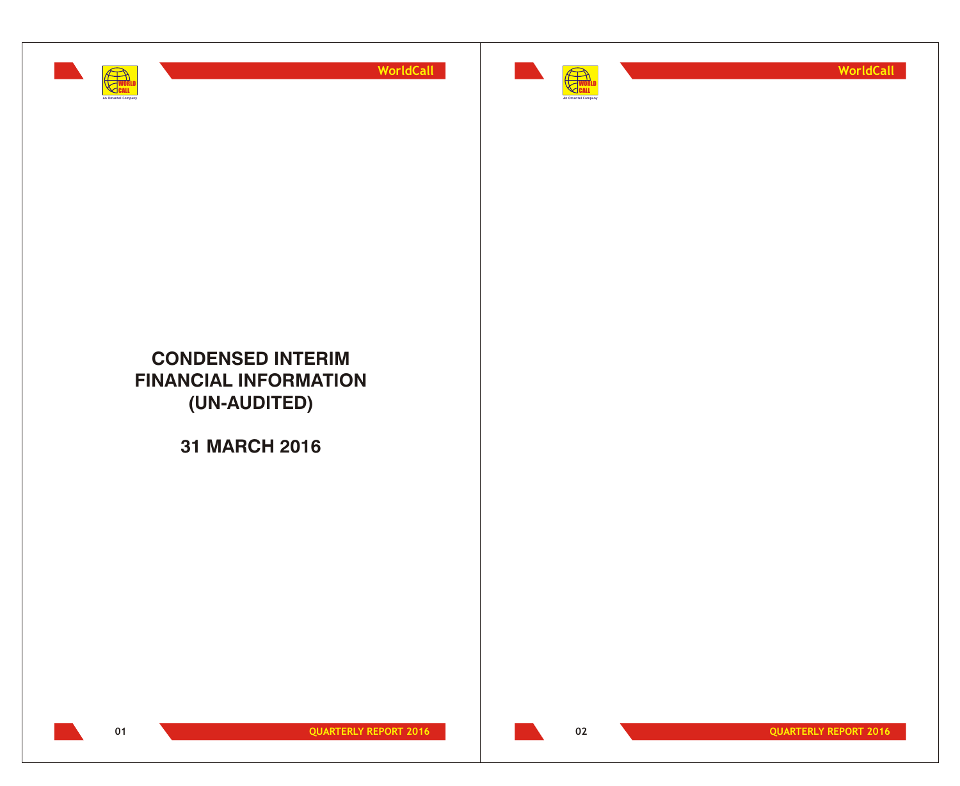



**WorldCall**

## **CONDENSED INTERIM FINANCIAL INFORMATION (UN-AUDITED)**

**31 MARCH 2016**



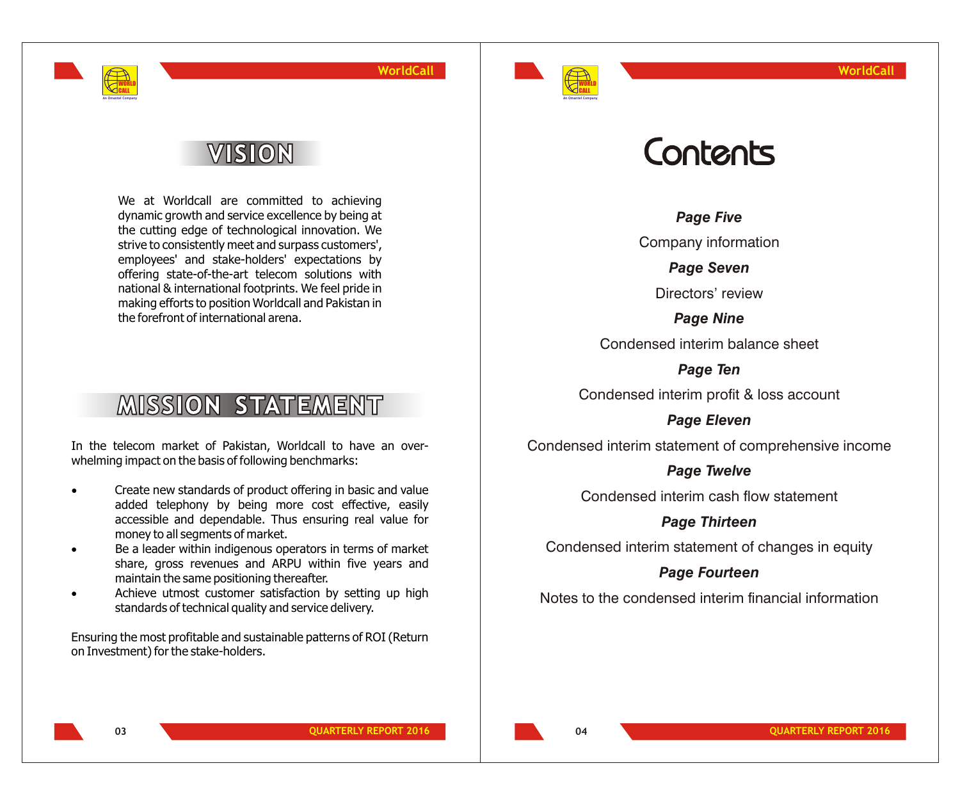

# VISION

WORLD CALL **An Omantel Company**

> We at Worldcall are committed to achieving dynamic growth and service excellence by being at the cutting edge of technological innovation. We strive to consistently meet and surpass customers', employees' and stake-holders' expectations by offering state-of-the-art telecom solutions with national & international footprints. We feel pride in making efforts to position Worldcall and Pakistan in the forefront of international arena.

# **MISSION STATEMENT**

In the telecom market of Pakistan, Worldcall to have an overwhelming impact on the basis of following benchmarks:

> Create new standards of product offering in basic and value added telephony by being more cost effective, easily accessible and dependable. Thus ensuring real value for money to all segments of market.

> Be a leader within indigenous operators in terms of market share, gross revenues and ARPU within five years and maintain the same positioning thereafter.

> Achieve utmost customer satisfaction by setting up high standards of technical quality and service delivery.

Ensuring the most profitable and sustainable patterns of ROI (Return on Investment) for the stake-holders.

# Contents

*Page Five*

Company information

*Page Seven*

Directors' review

*Page Nine* Condensed interim balance sheet

*Page Ten*

Condensed interim profit & loss account

*Page Eleven*

Condensed interim statement of comprehensive income

#### *Page Twelve*

Condensed interim cash flow statement

*Page Thirteen*

Condensed interim statement of changes in equity

#### *Page Fourteen*

Notes to the condensed interim financial information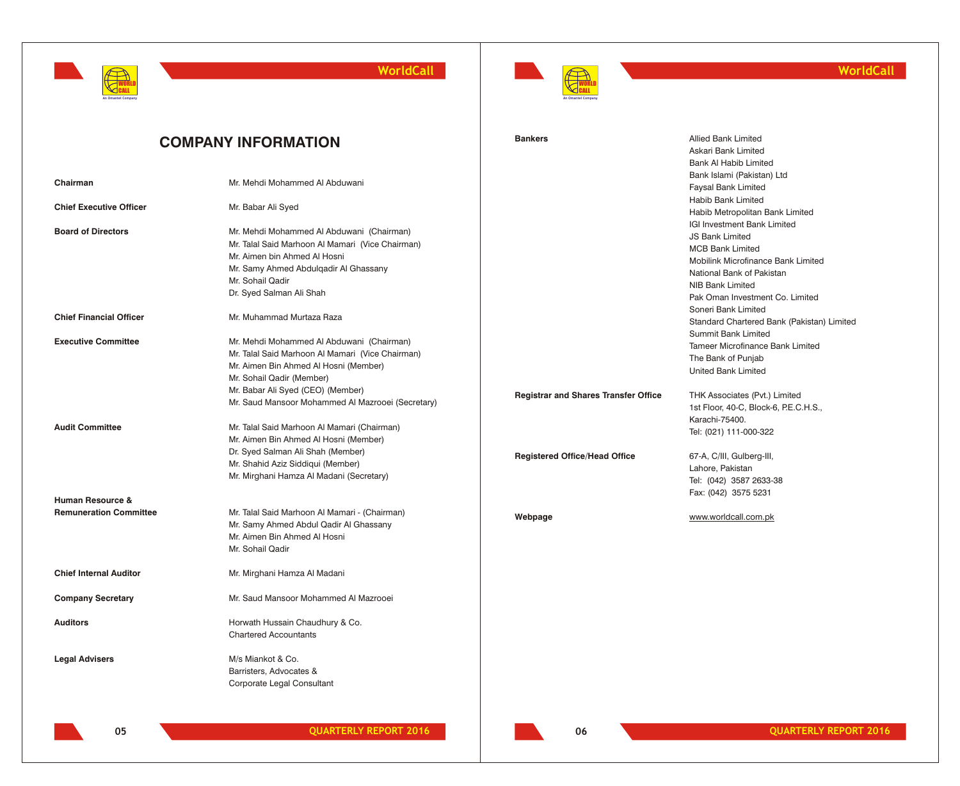



#### **WorldCall**

|                                | <b>COMPANY INFORMATION</b>                                                                                                                                                                                             | <b>Bankers</b>                              | <b>Allied Bank Limited</b><br>Askari Bank Limited<br><b>Bank AI Habib Limited</b>                                                                                                                          |
|--------------------------------|------------------------------------------------------------------------------------------------------------------------------------------------------------------------------------------------------------------------|---------------------------------------------|------------------------------------------------------------------------------------------------------------------------------------------------------------------------------------------------------------|
| Chairman                       | Mr. Mehdi Mohammed Al Abduwani                                                                                                                                                                                         |                                             | Bank Islami (Pakistan) Ltd<br>Faysal Bank Limited                                                                                                                                                          |
| <b>Chief Executive Officer</b> | Mr. Babar Ali Syed                                                                                                                                                                                                     |                                             | Habib Bank Limited<br>Habib Metropolitan Bank Limited                                                                                                                                                      |
| <b>Board of Directors</b>      | Mr. Mehdi Mohammed Al Abduwani (Chairman)<br>Mr. Talal Said Marhoon Al Mamari (Vice Chairman)<br>Mr. Aimen bin Ahmed Al Hosni<br>Mr. Samy Ahmed Abdulgadir Al Ghassany<br>Mr. Sohail Qadir<br>Dr. Syed Salman Ali Shah |                                             | IGI Investment Bank Limited<br><b>JS Bank Limited</b><br><b>MCB Bank Limited</b><br>Mobilink Microfinance Bank Limited<br>National Bank of Pakistan<br>NIB Bank Limited<br>Pak Oman Investment Co. Limited |
| <b>Chief Financial Officer</b> | Mr. Muhammad Murtaza Raza                                                                                                                                                                                              |                                             | Soneri Bank Limited<br>Standard Chartered Bank (Pakistan) Limited                                                                                                                                          |
| <b>Executive Committee</b>     | Mr. Mehdi Mohammed Al Abduwani (Chairman)<br>Mr. Talal Said Marhoon Al Mamari (Vice Chairman)<br>Mr. Aimen Bin Ahmed Al Hosni (Member)<br>Mr. Sohail Qadir (Member)                                                    |                                             | <b>Summit Bank Limited</b><br>Tameer Microfinance Bank Limited<br>The Bank of Punjab<br><b>United Bank Limited</b>                                                                                         |
|                                | Mr. Babar Ali Syed (CEO) (Member)<br>Mr. Saud Mansoor Mohammed Al Mazrooei (Secretary)                                                                                                                                 | <b>Registrar and Shares Transfer Office</b> | THK Associates (Pvt.) Limited<br>1st Floor, 40-C, Block-6, P.E.C.H.S.,                                                                                                                                     |
| <b>Audit Committee</b>         | Mr. Talal Said Marhoon Al Mamari (Chairman)<br>Mr. Aimen Bin Ahmed Al Hosni (Member)<br>Dr. Syed Salman Ali Shah (Member)                                                                                              |                                             | Karachi-75400.<br>Tel: (021) 111-000-322                                                                                                                                                                   |
|                                | Mr. Shahid Aziz Siddiqui (Member)<br>Mr. Mirghani Hamza Al Madani (Secretary)                                                                                                                                          | <b>Registered Office/Head Office</b>        | 67-A, C/III, Gulberg-III,<br>Lahore, Pakistan<br>Tel: (042) 3587 2633-38                                                                                                                                   |
| <b>Human Resource &amp;</b>    |                                                                                                                                                                                                                        |                                             | Fax: (042) 3575 5231                                                                                                                                                                                       |
| <b>Remuneration Committee</b>  | Mr. Talal Said Marhoon Al Mamari - (Chairman)<br>Mr. Samy Ahmed Abdul Qadir Al Ghassany<br>Mr. Aimen Bin Ahmed Al Hosni<br>Mr. Sohail Qadir                                                                            | Webpage                                     | www.worldcall.com.pk                                                                                                                                                                                       |
| <b>Chief Internal Auditor</b>  | Mr. Mirghani Hamza Al Madani                                                                                                                                                                                           |                                             |                                                                                                                                                                                                            |
| <b>Company Secretary</b>       | Mr. Saud Mansoor Mohammed Al Mazrooei                                                                                                                                                                                  |                                             |                                                                                                                                                                                                            |
| <b>Auditors</b>                | Horwath Hussain Chaudhury & Co.<br><b>Chartered Accountants</b>                                                                                                                                                        |                                             |                                                                                                                                                                                                            |
| <b>Legal Advisers</b>          | M/s Miankot & Co.<br>Barristers, Advocates &<br>Corporate Legal Consultant                                                                                                                                             |                                             |                                                                                                                                                                                                            |

**06**

**05 QUARTERLY REPORT 2016 QUARTERLY REPORT 2016 QUARTERLY REPORT 2016**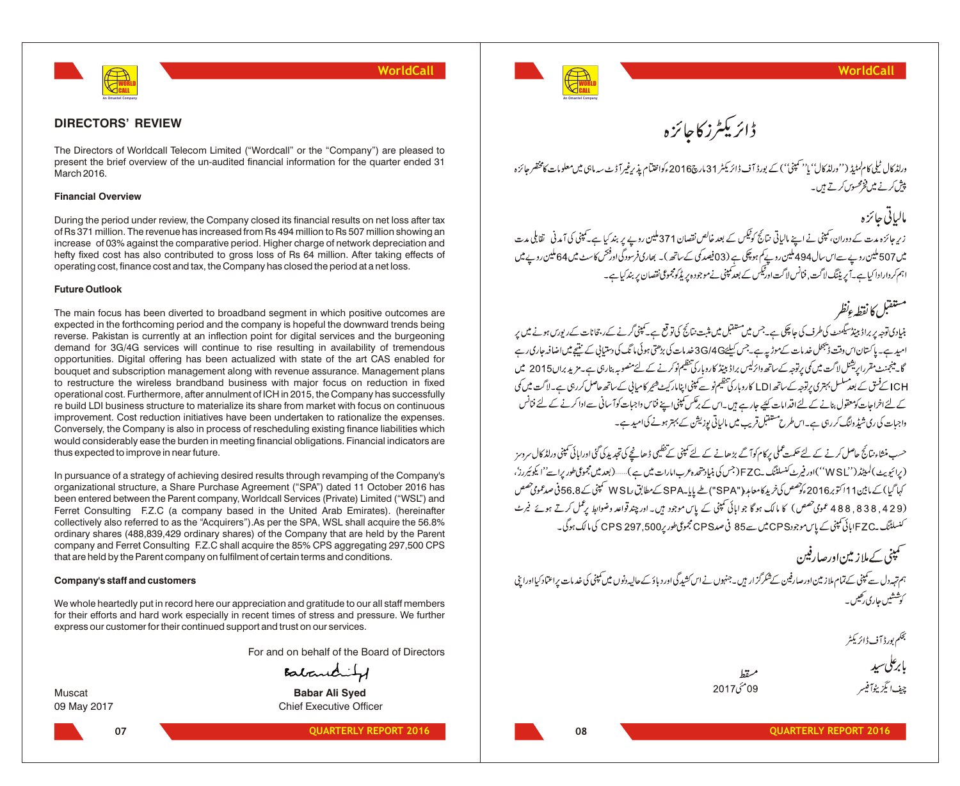

#### **DIRECTORS' REVIEW**

The Directors of Worldcall Telecom Limited ("Wordcall" or the "Company") are pleased to present the brief overview of the un-audited financial information for the quarter ended 31 March 2016.

#### **Financial Overview**

During the period under review, the Company closed its financial results on net loss after tax of Rs 371 million. The revenue has increased from Rs 494 million to Rs 507 million showing an increase of 03% against the comparative period. Higher charge of network depreciation and hefty fixed cost has also contributed to gross loss of Rs 64 million. After taking effects of operating cost, finance cost and tax, the Company has closed the period at a net loss.

#### **Future Outlook**

The main focus has been diverted to broadband segment in which positive outcomes are expected in the forthcoming period and the company is hopeful the downward trends being reverse. Pakistan is currently at an inflection point for digital services and the burgeoning demand for 3G/4G services will continue to rise resulting in availability of tremendous opportunities. Digital offering has been actualized with state of the art CAS enabled for bouquet and subscription management along with revenue assurance. Management plans to restructure the wireless brandband business with major focus on reduction in fixed operational cost. Furthermore, after annulment of ICH in 2015, the Company has successfully re build LDI business structure to materialize its share from market with focus on continuous improvement. Cost reduction initiatives have been undertaken to rationalize the expenses. Conversely, the Company is also in process of rescheduling existing finance liabilities which would considerably ease the burden in meeting financial obligations. Financial indicators are thus expected to improve in near future.

In pursuance of a strategy of achieving desired results through revamping of the Company's organizational structure, a Share Purchase Agreement ("SPA") dated 11 October 2016 has been entered between the Parent company, Worldcall Services (Private) Limited ("WSL") and Ferret Consulting F.Z.C (a company based in the United Arab Emirates). (hereinafter collectively also referred to as the "Acquirers").As per the SPA, WSL shall acquire the 56.8% ordinary shares (488,839,429 ordinary shares) of the Company that are held by the Parent company and Ferret Consulting F.Z.C shall acquire the 85% CPS aggregating 297,500 CPS that are held by the Parent company on fulfilment of certain terms and conditions.

#### **Company's staff and customers**

We whole heartedly put in record here our appreciation and gratitude to our all staff members for their efforts and hard work especially in recent times of stress and pressure. We further express our customer for their continued support and trust on our services.

For and on behalf of the Board of Directors

Balanchity

**07**

Muscat **Babar Ali Syed** 09 May 2017 Chief Executive Officer



ڈائریکٹرز کاجائزہ

ورلڈ کال ٹیلی کام کمٹیڈ (''ورلڈ کال'' )'' بمپنی'') کے بورڈ آف ڈائر یکٹر 31 مارچ2016ءکواختیام پذیرغیرآ ڈٹ سہ ماہی میں معلومات کامختصر جائزہ پیش کرنے میں فخ<sup>و</sup> محسوں کرتے ہیں۔

# مالياتي جائزه

زیر جائزہ مدت کے دوران، کمپنی نے اپنے ہالیاتی نتائج کوٹیکس کے بعد خالص نقصان 371 ملین روپے پر بند کیا ہے کمپنی کی آمدنی \_ ققابلی مدت میں 507 ملین روپے سےاس سال494 ملین روپے کم ہوچکی ہے (03فیصد کی کے ساتھ )۔ بھاری فرسودگی او فتحس کاسٹ میں 64 ملین روپے میں اہم کر دارادا کیا ہے۔ یہ پیننگ لاگت, فنانس لاگت اور پیس کے بعد کمپنی نے موجود ہیریڈکو مجموعی نقصان پر بند کیا ہے۔

### مستفتل كانقطهءنظر

بنیادی توجہ پر براڈ ببیڈسیکمنٹ کی طرف کی جا چکی ہے۔جس میں مستقبل میں مثبت نتائج کی تو تع ہے۔کمپنی گرنے کےروست م امید ہے۔ ماکستان اس وقت ڈیبھل خدمات کےموڑیہ ہے جس کیلئے 3G/4G خدمات کی بڑھتی ہوئی،ا ٹک کی دستیانی کے نتیح میں اضافہ جاری رہے گایہ پنجنٹ مقرراریشنل لاگت میں کی پرتوچہ کے ساتھ وائرلیس براڈ ببیڈ کاروبار کی تنظیم نوکرنے کے لئے منصوبہ بنار دی ہے۔مزید براں2015 میں ا<br>ICH کےفتق کے بعد سلسل بہتری پرتوجہ کے ساتھ LDI کاروباری تنظیم نو سے کمپنی اپنامار کیٹ شیر کامیابی کے ساتھ حاصل کے لئے اخراجات کومعقول بنانے کے لئے اقدامات کئیے جارہے ہیں۔اس کے برنکس کمپنی اپنے فناس واجبات کوآ سانی سے ادا کرنے کے لئے فنانس واجبات کی ری شیڈ وانگ کر رہی ہے۔اس طرح مستقبل قریب میں مالیاتی پوزیشن کے بہتر ہونے کی امید ہے۔

حسب منشاء نتائج حاصل کرنے کے لئے حکمت عملی برکام کوآ گے بڑھانے کے لئے کمپنی کے تنظیمی ڈھانچے کی تحدید کی گئی اورامائی کمپنی ورلڈ کال سروسز (پرائیویٹ)لمیٹڈ('WSL'')اور فیرٹ کنسلٹنگ پFZC(جس) بنیا دمتھ ہ عرب امارات میں ہے)......(بعد میں مجموعی طورپراسے''ا یکوئیررز'، کہا گیا)کے مابین11 اکتوبر2016ءکو صص کی خرید کامعامہ ("SPA")طے پایا۔SPAکےمطابق ،WSL سمبنی کے 56.8 فی صدعموی صص (429, 838, 488 عمومی حصص) کا مالک ہو گا جو اہائی کمپنی کے پاس موجود ہیں۔اور چند قواعد وضوابط پر عمل کرتے ہوئے فیرٹ کنسلٹنگ ےEZC اپائی کمپنی کے پاس موجودCPS میں سے85 فی صدCPS مجموعی طور پرCPS 297,500 کی مالک ہوگی۔

سمپنی کے ملاز میں اور صارفین ہم تہہ دل سے یمپنی کے تمام ملاز مین اورصارفین کےشکرگز ار ہیں۔جنہوں نے اس کشدگی اور دیاؤ کےحالیہ دنوں میں کمپنی کی خدمات پراعتماد کیااوراغی کوششیں جاری رکھیں۔

بى<br>ئىمكىم بورۋ آف ۋائزىكى<sup>ل</sup>ر

 $2017 \hat{i} 09$ 

بإبرعلى سيد چف ایگزیٹوآفیسر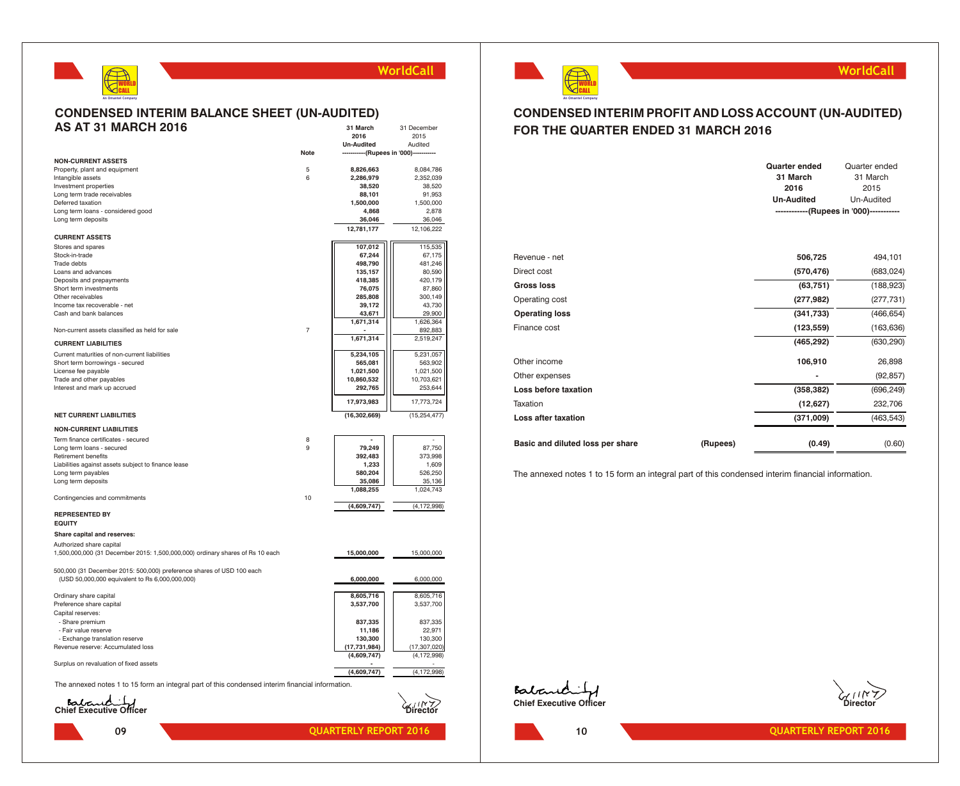

**31 March** 31 December

#### **CONDENSED INTERIM BALANCE SHEET (UN-AUDITED) AS AT 31 MARCH 2016**

|                                                                                                           |                | 2016                                   | 2015           |
|-----------------------------------------------------------------------------------------------------------|----------------|----------------------------------------|----------------|
|                                                                                                           |                | <b>Un-Audited</b>                      | Audited        |
|                                                                                                           | <b>Note</b>    | -----------(Rupees in '000)----------- |                |
| <b>NON-CURRENT ASSETS</b>                                                                                 |                |                                        |                |
| Property, plant and equipment                                                                             | 5              | 8,826,663                              | 8,084,786      |
| Intangible assets                                                                                         | 6              | 2,286,979                              | 2,352,039      |
| Investment properties                                                                                     |                | 38,520                                 | 38,520         |
| Long term trade receivables                                                                               |                | 88,101                                 | 91,953         |
| Deferred taxation                                                                                         |                | 1,500,000                              | 1,500,000      |
| Long term loans - considered good                                                                         |                | 4,868                                  | 2,878          |
| Long term deposits                                                                                        |                | 36,046                                 | 36,046         |
|                                                                                                           |                | 12,781,177                             | 12,106,222     |
| <b>CURRENT ASSETS</b>                                                                                     |                |                                        |                |
| Stores and spares                                                                                         |                | 107,012                                | 115,535        |
| Stock-in-trade                                                                                            |                | 67,244                                 | 67,175         |
| Trade debts                                                                                               |                | 498,790                                | 481,246        |
| Loans and advances                                                                                        |                | 135,157                                | 80,590         |
| Deposits and prepayments                                                                                  |                | 418,385                                | 420,179        |
| Short term investments                                                                                    |                | 76,075                                 | 87,860         |
| Other receivables                                                                                         |                | 285,808                                | 300,149        |
| Income tax recoverable - net                                                                              |                | 39,172                                 | 43,730         |
| Cash and bank balances                                                                                    |                |                                        | 29,900         |
|                                                                                                           |                | 43,671<br>1,671,314                    | 1,626,364      |
| Non-current assets classified as held for sale                                                            | $\overline{7}$ |                                        | 892,883        |
|                                                                                                           |                | 1,671,314                              | 2,519,247      |
| <b>CURRENT LIABILITIES</b>                                                                                |                |                                        |                |
| Current maturities of non-current liabilities                                                             |                | 5,234,105                              | 5,231,057      |
| Short term borrowings - secured                                                                           |                | 565,081                                | 563,902        |
| License fee payable                                                                                       |                | 1,021,500                              | 1,021,500      |
| Trade and other payables                                                                                  |                | 10,860,532                             | 10,703,621     |
| Interest and mark up accrued                                                                              |                | 292,765                                | 253,644        |
|                                                                                                           |                | 17,973,983                             | 17,773,724     |
| <b>NET CURRENT LIABILITIES</b>                                                                            |                | (16, 302, 669)                         | (15, 254, 477) |
|                                                                                                           |                |                                        |                |
| <b>NON-CURRENT LIABILITIES</b>                                                                            |                |                                        |                |
| Term finance certificates - secured                                                                       | 8              |                                        |                |
| Long term loans - secured                                                                                 | 9              | 79,249                                 | 87,750         |
| <b>Retirement benefits</b>                                                                                |                | 392,483                                | 373,998        |
| Liabilities against assets subject to finance lease                                                       |                | 1,233                                  | 1,609          |
| Long term payables                                                                                        |                | 580,204                                | 526,250        |
| Long term deposits                                                                                        |                | 35,086                                 | 35,136         |
|                                                                                                           |                | 1,088,255                              | 1,024,743      |
| Contingencies and commitments                                                                             | 10             |                                        |                |
|                                                                                                           |                | (4,609,747)                            | (4, 172, 998)  |
| <b>REPRESENTED BY</b>                                                                                     |                |                                        |                |
| <b>EQUITY</b>                                                                                             |                |                                        |                |
| Share capital and reserves:                                                                               |                |                                        |                |
| Authorized share capital<br>1,500,000,000 (31 December 2015: 1,500,000,000) ordinary shares of Rs 10 each |                |                                        | 15,000,000     |
|                                                                                                           |                | 15,000,000                             |                |
| 500,000 (31 December 2015: 500,000) preference shares of USD 100 each                                     |                |                                        |                |
| (USD 50,000,000 equivalent to Rs 6,000,000,000)                                                           |                | 6,000,000                              | 6,000,000      |
|                                                                                                           |                |                                        |                |
| Ordinary share capital                                                                                    |                | 8,605,716                              | 8,605,716      |
|                                                                                                           |                |                                        |                |
| Preference share capital                                                                                  |                | 3,537,700                              | 3,537,700      |
| Capital reserves:                                                                                         |                |                                        |                |
| - Share premium                                                                                           |                | 837,335                                | 837,335        |
| - Fair value reserve                                                                                      |                | 11,186                                 | 22,971         |
| - Exchange translation reserve                                                                            |                | 130,300                                | 130,300        |
| Revenue reserve: Accumulated loss                                                                         |                | (17, 731, 984)                         | (17, 307, 020) |
|                                                                                                           |                | (4,609,747)                            | (4, 172, 998)  |
| Surplus on revaluation of fixed assets                                                                    |                |                                        |                |
|                                                                                                           |                | (4,609,747)                            | (4, 172, 998)  |
| The annexed notes 1 to 15 form an integral part of this condensed interim financial information.          |                |                                        |                |
|                                                                                                           |                |                                        |                |
| Babauch J                                                                                                 |                |                                        |                |



#### **WorldCall**

#### **CONDENSED INTERIM PROFIT AND LOSS ACCOUNT (UN-AUDITED) FOR THE QUARTER ENDED 31 MARCH 2016**

|                                  |          | <b>Quarter ended</b><br>31 March<br>2016<br><b>Un-Audited</b> | Quarter ended<br>31 March<br>2015<br>Un-Audited<br>------------(Rupees in '000)----------- |
|----------------------------------|----------|---------------------------------------------------------------|--------------------------------------------------------------------------------------------|
| Revenue - net                    |          | 506,725                                                       | 494,101                                                                                    |
| Direct cost                      |          | (570, 476)                                                    | (683, 024)                                                                                 |
| <b>Gross loss</b>                |          | (63, 751)                                                     | (188, 923)                                                                                 |
| Operating cost                   |          | (277, 982)                                                    | (277, 731)                                                                                 |
| <b>Operating loss</b>            |          | (341, 733)                                                    | (466, 654)                                                                                 |
| Finance cost                     |          | (123, 559)                                                    | (163, 636)                                                                                 |
|                                  |          | (465, 292)                                                    | (630, 290)                                                                                 |
| Other income                     |          | 106,910                                                       | 26,898                                                                                     |
| Other expenses                   |          |                                                               | (92, 857)                                                                                  |
| Loss before taxation             |          | (358, 382)                                                    | (696, 249)                                                                                 |
| Taxation                         |          | (12, 627)                                                     | 232,706                                                                                    |
| Loss after taxation              |          | (371,009)                                                     | (463, 543)                                                                                 |
| Basic and diluted loss per share | (Rupees) | (0.49)                                                        | (0.60)                                                                                     |

The annexed notes 1 to 15 form an integral part of this condensed interim financial information.

**Eatrement of** 

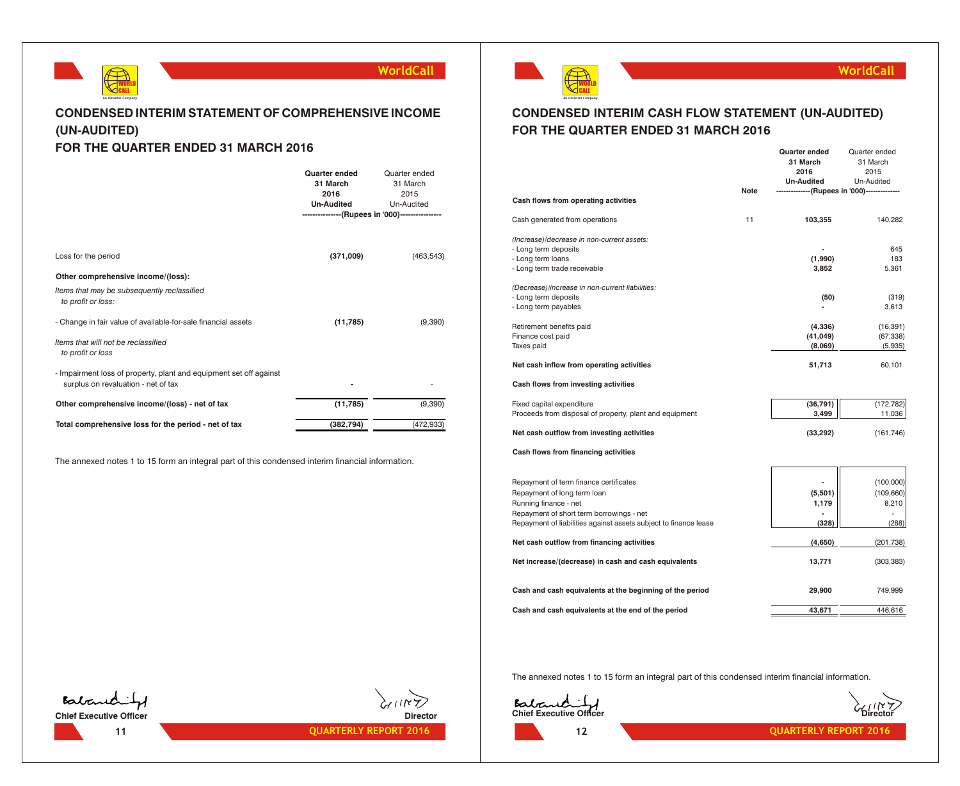

#### **CONDENSED INTERIM STATEMENT OF COMPREHENSIVE INCOME (UN-AUDITED) FOR THE QUARTER ENDED 31 MARCH 2016**

#### **Quarter ended** Quarter ended **31 March** 31 March **2016** 2015 **Un-Audited** Un-Audited Loss for the period **(371,009)** (463,543) **Other comprehensive income/(loss):** *Items that may be subsequently reclassified to profit or loss:* - Change in fair value of available-for-sale financial assets **(11,785)** (9,390) *Items that will not be reclassified to profit or loss* - Impairment loss of property, plant and equipment set off against surplus on revaluation - net of tax **and the surplus on revaluation - net of tax -Other comprehensive income/(loss) - net of tax (11,785)** (9,390) **Total comprehensive loss for the period - net of tax** (382,794) (472,933) **---------------(Rupees in '000)----------------**

The annexed notes 1 to 15 form an integral part of this condensed interim financial information.



#### **WorldCall**

#### **CONDENSED INTERIM CASH FLOW STATEMENT (UN-AUDITED) FOR THE QUARTER ENDED 31 MARCH 2016**

|                                                                  |      | Quarter ended<br>31 March | Quarter ended<br>31 March              |
|------------------------------------------------------------------|------|---------------------------|----------------------------------------|
|                                                                  |      | 2016                      | 2015                                   |
|                                                                  |      | <b>Un-Audited</b>         | Un-Audited                             |
|                                                                  | Note |                           | --------(Rupees in '000)-------------- |
| Cash flows from operating activities                             |      |                           |                                        |
| Cash generated from operations                                   | 11   | 103,355                   | 140.282                                |
| (Increase)/decrease in non-current assets:                       |      |                           |                                        |
| - Long term deposits                                             |      |                           | 645                                    |
| - Long term loans                                                |      | (1,990)<br>3,852          | 183<br>5,361                           |
| - Long term trade receivable                                     |      |                           |                                        |
| (Decrease)/increase in non-current liabilities:                  |      |                           |                                        |
| - Long term deposits                                             |      | (50)                      | (319)                                  |
| - Long term payables                                             |      |                           | 3,613                                  |
| Retirement benefits paid                                         |      | (4,336)                   | (16, 391)                              |
| Finance cost paid                                                |      | (41, 049)                 | (67, 338)                              |
| Taxes paid                                                       |      | (8,069)                   | (5,935)                                |
| Net cash inflow from operating activities                        |      | 51,713                    | 60,101                                 |
| Cash flows from investing activities                             |      |                           |                                        |
| Fixed capital expenditure                                        |      | (36, 791)                 | (172, 782)                             |
| Proceeds from disposal of property, plant and equipment          |      | 3,499                     | 11,036                                 |
| Net cash outflow from investing activities                       |      | (33, 292)                 | (161, 746)                             |
| Cash flows from financing activities                             |      |                           |                                        |
|                                                                  |      |                           |                                        |
| Repayment of term finance certificates                           |      |                           | (100,000)                              |
| Repayment of long term loan                                      |      | (5,501)                   | (109, 660)                             |
| Running finance - net                                            |      | 1,179                     | 8,210                                  |
| Repayment of short term borrowings - net                         |      |                           |                                        |
| Repayment of liabilities against assets subject to finance lease |      | (328)                     | (288)                                  |
| Net cash outflow from financing activities                       |      | (4,650)                   | (201, 738)                             |
| Net increase/(decrease) in cash and cash equivalents             |      | 13,771                    | (303, 383)                             |
| Cash and cash equivalents at the beginning of the period         |      | 29,900                    | 749,999                                |
| Cash and cash equivalents at the end of the period               |      | 43,671                    | 446,616                                |
|                                                                  |      |                           |                                        |

The annexed notes 1 to 15 form an integral part of this condensed interim financial information.





**12**



**11 QUARTERLY REPORT 2016 CUARTERLY REPORT 2016 12 12 QUARTERLY REPORT 2016** 

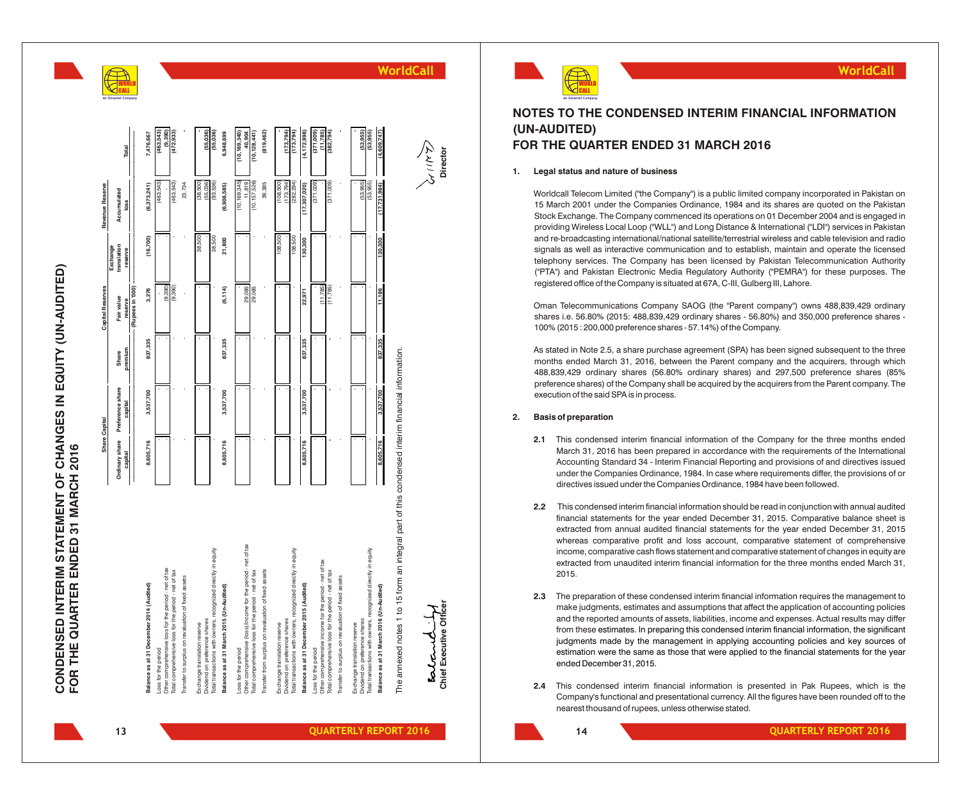# CONDENSED INTERIM STATEMENT OF CHANGES IN EQUITY (UN-AUDITED)<br>FOR THE QUARTER ENDED 31 MARCH 2016 **CONDENSED INTERIM STATEMENT OF CHANGES IN EQUITY (UN-AUDITED) FOR THE QUARTER ENDED 31 MARCH 2016**

**WO** O R L D **CA** A L L

**A n O m a n t e o m p a n y**

|                                                                                                                       |                           | Share Capital               |                  | <b>Capital Reserves</b> |                                    | Revenue Reserve          |                          |
|-----------------------------------------------------------------------------------------------------------------------|---------------------------|-----------------------------|------------------|-------------------------|------------------------------------|--------------------------|--------------------------|
|                                                                                                                       | Ordinary share<br>capital | Preference share<br>capital | premium<br>Share | Fair value<br>reserve   | translation<br>Exchange<br>reserve | Accumulated<br>loss      | Total                    |
|                                                                                                                       |                           |                             |                  | (Rupees in '000)        |                                    |                          |                          |
| Balance as at 31 December 2014 (Audited)                                                                              | 8,605,716                 | 3,537,700                   | 837,335          | 3,276                   | (16,700)                           | (6,373,241)              | 7,476,667                |
| Other comprehensive loss for the period - net of tax<br>Loss for the period                                           |                           |                             |                  | (9, 390)                |                                    | (463, 543)               | (9, 390)<br>(463, 543)   |
| Total comprehensive loss for the period - net of tax                                                                  |                           |                             |                  | (9, 390)                |                                    | (463,543)                | (472, 933)               |
| Transfer to surplus on revaluation of fixed assets                                                                    |                           |                             |                  |                         |                                    | 23,734                   |                          |
| Dividend on preference shares<br>Exchange translation reserve                                                         |                           |                             |                  |                         | 38,500                             | $(38,500)$<br>$(55,036)$ | (55,036)                 |
| Total transactions with owners, recognized directly in equity                                                         |                           |                             |                  |                         | 38,500                             | (93,536)                 | (55,036)                 |
| Balance as at 31 March 2015 (Un-Audited)                                                                              | 8,605,716                 | 3,537,700                   | 837,335          | (6, 114)                | 21,800                             | (6,906,585)              | 6,948,699                |
| Loss for the period                                                                                                   |                           |                             |                  |                         |                                    | (10, 169, 345)           | (10, 169, 345)           |
| Other comprehensive (loss)/income for the period - net of tax<br>Total comprehensive loss for the period - net of tax |                           |                             |                  | 29,085<br>29,085        |                                    | (10, 157, 526)<br>11,819 | 40,904<br>(10, 128, 441) |
| Transfer from surplus on revaluation of fixed assets                                                                  |                           |                             |                  |                         |                                    | 39,385                   | (819, 462)               |
| Exchange translation reserve                                                                                          |                           |                             |                  |                         | 108,500                            | (108,500)                |                          |
| Dividend on preference shares                                                                                         |                           |                             |                  |                         |                                    | (173, 794)               | (173, 794)               |
| Total transactions with owners, recognized directly in equity                                                         |                           |                             |                  |                         | 108,500                            | (282, 294)               | (173, 794)               |
| Balance as at 31 December 2015 (Audited)                                                                              | 8,605,716                 | 3,537,700                   | 837,335          | 22,971                  | 130,300                            | (17, 307, 020)           | (4, 172, 998)            |
| Other comprehensive income for the period - net of tax<br>Loss for the period                                         |                           |                             |                  | (11, 785)               |                                    | (871,009)                | (11,785)<br>(371,009)    |
| Total comprehensive loss for the period - net of tax                                                                  |                           |                             |                  | (11, 785)               |                                    | (371,009)                | (382, 794)               |
| Transfer to surplus on revaluation of fixed assets                                                                    |                           |                             |                  |                         |                                    |                          |                          |
| Exchange translation reserve                                                                                          |                           |                             |                  |                         |                                    |                          |                          |
| Total transactions with owners, recognized directly in equity<br>Dividend on preference shares                        |                           |                             |                  |                         |                                    | (53,955)<br>(53,955)     | (53, 955)<br>(53,955)    |
|                                                                                                                       |                           |                             |                  |                         |                                    |                          |                          |
| Balance as at 31 March 2016 (Un-Audited)                                                                              | 8,605,716                 | 3,537,700                   | 837,335          | 11,186                  | 130,300                            | (17, 731, 984)           | (4,609,747)              |
| The annexed notes 1 to 15 form an integral part of this condensed interim financial information.                      |                           |                             |                  |                         |                                    |                          |                          |
|                                                                                                                       |                           |                             |                  |                         |                                    |                          |                          |
| كمكمدمك                                                                                                               |                           |                             |                  |                         |                                    |                          | ダミス                      |
| Chief Executive Officer                                                                                               |                           |                             |                  |                         |                                    |                          | Director                 |



**WorldCall**

#### **NOTES TO THE CONDENSED INTERIM FINANCIAL INFORMATION (UN-AUDITED) FOR THE QUARTER ENDED 31 MARCH 2016**

**WorldCall**

#### **1. Legal status and nature of business**

Worldcall Telecom Limited ("the Company") is a public limited company incorporated in Pakistan on 15 March 2001 under the Companies Ordinance, 1984 and its shares are quoted on the Pakistan Stock Exchange. The Company commenced its operations on 01 December 2004 and is engaged in providing Wireless Local Loop ("WLL") and Long Distance & International ("LDI") services in Pakistan and re-broadcasting international/national satellite/terrestrial wireless and cable television and radio signals as well as interactive communication and to establish, maintain and operate the licensed telephony services. The Company has been licensed by Pakistan Telecommunication Authority ("PTA") and Pakistan Electronic Media Regulatory Authority ("PEMRA") for these purposes. The registered office of the Company is situated at 67A, C-III, Gulberg III, Lahore.

Oman Telecommunications Company SAOG (the "Parent company") owns 488,839,429 ordinary shares i.e. 56.80% (2015: 488,839,429 ordinary shares - 56.80%) and 350,000 preference shares - 100% (2015 : 200,000 preference shares - 57.14%) of the Company .

As stated in Note 2.5, a share purchase agreement (SPA) has been signed subsequent to the three months ended March 31, 2016, between the Parent company and the acquirers, through which 488,839,429 ordinary shares (56.80% ordinary shares) and 297,500 preference shares (85% preference shares) of the Company shall be acquired by the acquirers from the Parent company. The execution of the said SPA is in process.

#### **2. Basis of preparation**

- **2.1** This condensed interim financial information of the Company for the three months ended March 31, 2016 has been prepared in accordance with the requirements of the International Accounting Standard 34 - Interim Financial Reporting and provisions of and directives issued under the Companies Ordinance, 1984. In case where requirements differ, the provisions of or directives issued under the Companies Ordinance, 1984 have been followed.
- **2.2** This condensed interim financial information should be read in conjunction with annual audited financial statements for the year ended December 31, 2015. Comparative balance sheet is extracted from annual audited financial statements for the year ended December 31, 2015 whereas comparative profit and loss account, comparative statement of comprehensive income, comparative cash flows statement and comparative statement of changes in equity are extracted from unaudited interim financial information for the three months ended March 31, 2015.
- **2.3** The preparation of these condensed interim financial information requires the management to make judgments, estimates and assumptions that affect the application of accounting policies and the reported amounts of assets, liabilities, income and expenses. Actual results may differ from these estimates. In preparing this condensed interim financial information, the significant judgments made by the management in applying accounting policies and key sources of estimation were the same as those that were applied to the financial statements for the year ended December 31, 2015.
- **2.4** This condensed interim financial information is presented in Pak Rupees, which is the Company's functional and presentational currency. All the figures have been rounded off to the nearest thousand of rupees, unless otherwise stated.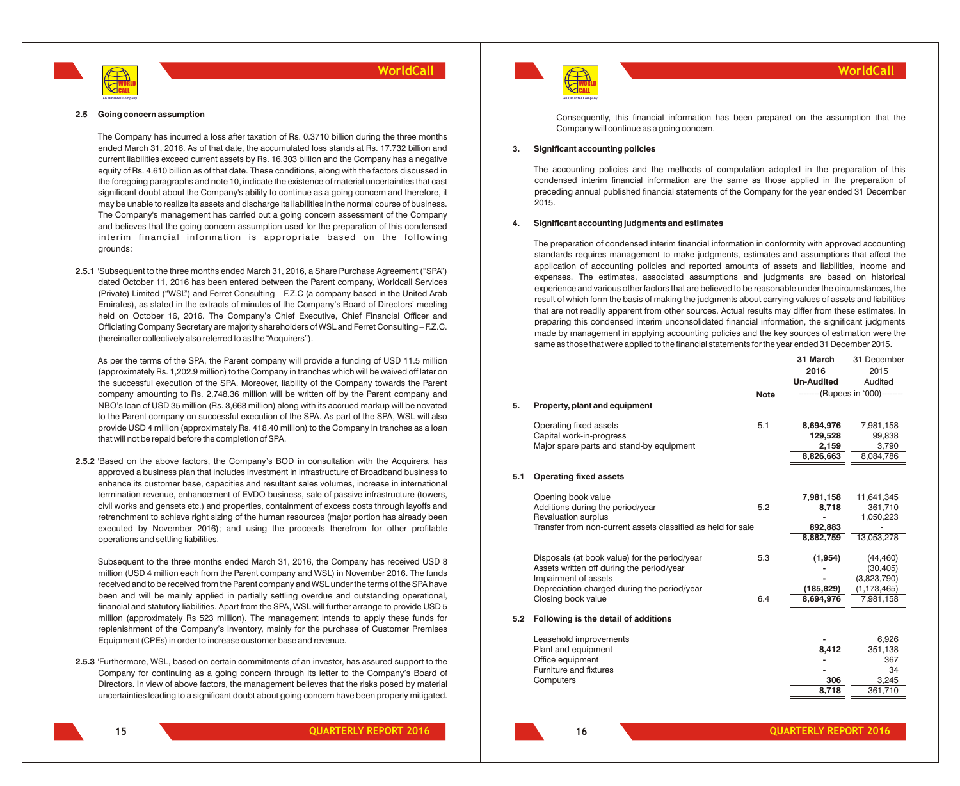

#### **2.5 Going concern assumption**

The Company has incurred a loss after taxation of Rs. 0.3710 billion during the three months ended March 31, 2016. As of that date, the accumulated loss stands at Rs. 17.732 billion and current liabilities exceed current assets by Rs. 16.303 billion and the Company has a negative equity of Rs. 4.610 billion as of that date. These conditions, along with the factors discussed in the foregoing paragraphs and note 10, indicate the existence of material uncertainties that cast significant doubt about the Company's ability to continue as a going concern and therefore, it may be unable to realize its assets and discharge its liabilities in the normal course of business. The Company's management has carried out a going concern assessment of the Company and believes that the going concern assumption used for the preparation of this condensed interim financial information is appropriate based on the following grounds:

**2.5.1** 'Subsequent to the three months ended March 31, 2016, a Share Purchase Agreement ("SPA") dated October 11, 2016 has been entered between the Parent company, Worldcall Services (Private) Limited ("WSL") and Ferret Consulting – F.Z.C (a company based in the United Arab Emirates), as stated in the extracts of minutes of the Company's Board of Directors' meeting held on October 16, 2016. The Company's Chief Executive, Chief Financial Officer and Officiating Company Secretary are majority shareholders of WSL and Ferret Consulting – F.Z.C. (hereinafter collectively also referred to as the "Acquirers").

As per the terms of the SPA, the Parent company will provide a funding of USD 11.5 million (approximately Rs. 1,202.9 million) to the Company in tranches which will be waived off later on the successful execution of the SPA. Moreover, liability of the Company towards the Parent company amounting to Rs. 2,748.36 million will be written off by the Parent company and NBO's loan of USD 35 million (Rs. 3,668 million) along with its accrued markup will be novated to the Parent company on successful execution of the SPA. As part of the SPA, WSL will also provide USD 4 million (approximately Rs. 418.40 million) to the Company in tranches as a loan that will not be repaid before the completion of SPA.

**2.5.2** 'Based on the above factors, the Company's BOD in consultation with the Acquirers, has approved a business plan that includes investment in infrastructure of Broadband business to enhance its customer base, capacities and resultant sales volumes, increase in international termination revenue, enhancement of EVDO business, sale of passive infrastructure (towers, civil works and gensets etc.) and properties, containment of excess costs through layoffs and retrenchment to achieve right sizing of the human resources (major portion has already been executed by November 2016); and using the proceeds therefrom for other profitable operations and settling liabilities.

Subsequent to the three months ended March 31, 2016, the Company has received USD 8 million (USD 4 million each from the Parent company and WSL) in November 2016. The funds received and to be received from the Parent company and WSL under the terms of the SPA have been and will be mainly applied in partially settling overdue and outstanding operational, financial and statutory liabilities. Apart from the SPA, WSL will further arrange to provide USD 5 million (approximately Rs 523 million). The management intends to apply these funds for replenishment of the Company's inventory, mainly for the purchase of Customer Premises Equipment (CPEs) in order to increase customer base and revenue.

**2.5.3** 'Furthermore, WSL, based on certain commitments of an investor, has assured support to the Company for continuing as a going concern through its letter to the Company's Board of Directors. In view of above factors, the management believes that the risks posed by material uncertainties leading to a significant doubt about going concern have been properly mitigated.



Consequently, this financial information has been prepared on the assumption that the Company will continue as a going concern.

#### **3. Significant accounting policies**

The accounting policies and the methods of computation adopted in the preparation of this condensed interim financial information are the same as those applied in the preparation of preceding annual published financial statements of the Company for the year ended 31 December 2015.

#### **4. Significant accounting judgments and estimates**

The preparation of condensed interim financial information in conformity with approved accounting standards requires management to make judgments, estimates and assumptions that affect the application of accounting policies and reported amounts of assets and liabilities, income and expenses. The estimates, associated assumptions and judgments are based on historical experience and various other factors that are believed to be reasonable under the circumstances, the result of which form the basis of making the judgments about carrying values of assets and liabilities that are not readily apparent from other sources. Actual results may differ from these estimates. In preparing this condensed interim unconsolidated financial information, the significant judgments made by management in applying accounting policies and the key sources of estimation were the same as those that were applied to the financial statements for the year ended 31 December 2015.

|     |                                                              |             | 31 March          | 31 December                      |
|-----|--------------------------------------------------------------|-------------|-------------------|----------------------------------|
|     |                                                              |             | 2016              | 2015                             |
|     |                                                              |             | <b>Un-Audited</b> | Audited                          |
|     |                                                              | <b>Note</b> |                   | --------(Rupees in '000)-------- |
| 5.  | Property, plant and equipment                                |             |                   |                                  |
|     |                                                              |             |                   |                                  |
|     | Operating fixed assets                                       | 5.1         | 8,694,976         | 7,981,158                        |
|     | Capital work-in-progress                                     |             | 129,528           | 99,838                           |
|     | Major spare parts and stand-by equipment                     |             | 2,159             | 3,790                            |
|     |                                                              |             | 8,826,663         | 8,084,786                        |
|     |                                                              |             |                   |                                  |
| 5.1 | <b>Operating fixed assets</b>                                |             |                   |                                  |
|     | Opening book value                                           |             | 7,981,158         | 11,641,345                       |
|     | Additions during the period/year                             | 5.2         | 8,718             | 361,710                          |
|     | <b>Revaluation surplus</b>                                   |             |                   | 1,050,223                        |
|     | Transfer from non-current assets classified as held for sale |             | 892,883           |                                  |
|     |                                                              |             | 8,882,759         | 13,053,278                       |
|     |                                                              |             |                   |                                  |
|     | Disposals (at book value) for the period/year                | 5.3         | (1, 954)          | (44, 460)                        |
|     | Assets written off during the period/year                    |             |                   | (30, 405)                        |
|     | Impairment of assets                                         |             |                   | (3,823,790)                      |
|     | Depreciation charged during the period/year                  |             | (185, 829)        | (1, 173, 465)                    |
|     | Closing book value                                           | 6.4         | 8,694,976         | 7,981,158                        |
| 5.2 | Following is the detail of additions                         |             |                   |                                  |
|     |                                                              |             |                   |                                  |
|     | Leasehold improvements                                       |             |                   | 6,926                            |
|     | Plant and equipment<br>Office equipment                      |             | 8,412             | 351,138<br>367                   |
|     | Furniture and fixtures                                       |             |                   | 34                               |
|     | Computers                                                    |             | 306               | 3,245                            |
|     |                                                              |             | 8,718             | 361,710                          |
|     |                                                              |             |                   |                                  |
|     |                                                              |             |                   |                                  |

**15**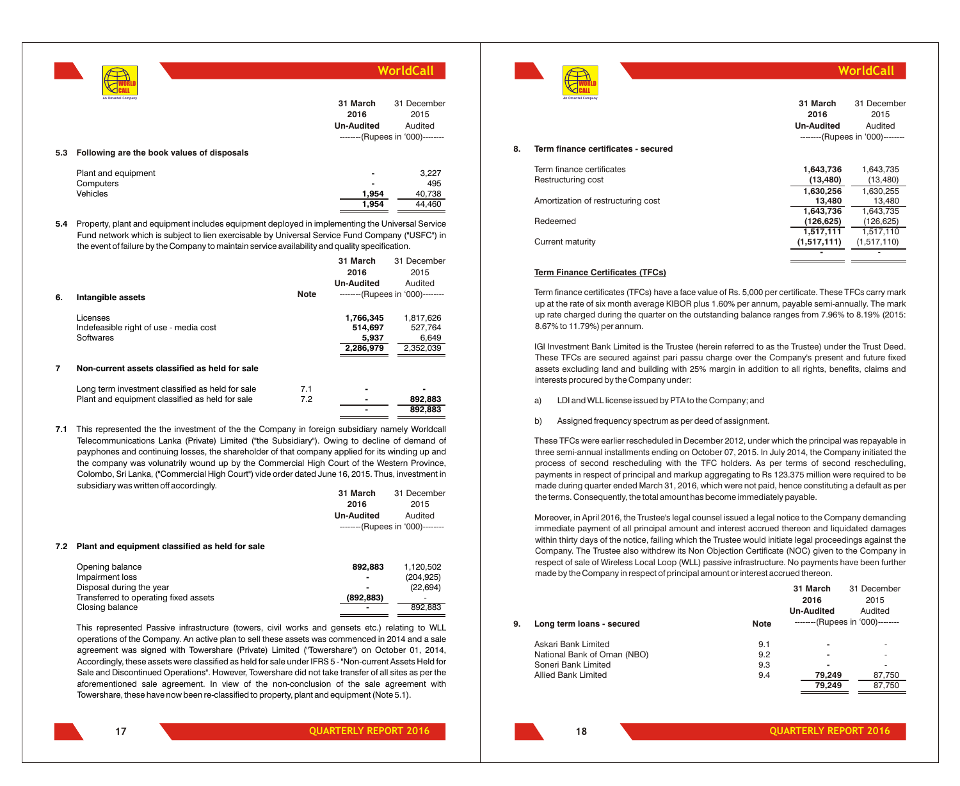|     |                                                                                                                                                                                                                                                                                                       |                   | WorldCall                        |
|-----|-------------------------------------------------------------------------------------------------------------------------------------------------------------------------------------------------------------------------------------------------------------------------------------------------------|-------------------|----------------------------------|
|     | An Omantel Company                                                                                                                                                                                                                                                                                    | 31 March          | 31 December                      |
|     |                                                                                                                                                                                                                                                                                                       | 2016              | 2015                             |
|     |                                                                                                                                                                                                                                                                                                       | <b>Un-Audited</b> | Audited                          |
|     |                                                                                                                                                                                                                                                                                                       |                   | --------(Rupees in '000)-------- |
| 5.3 | Following are the book values of disposals                                                                                                                                                                                                                                                            |                   |                                  |
|     | Plant and equipment                                                                                                                                                                                                                                                                                   |                   | 3,227                            |
|     | Computers                                                                                                                                                                                                                                                                                             |                   | 495                              |
|     | Vehicles                                                                                                                                                                                                                                                                                              | 1,954             | 40,738                           |
|     |                                                                                                                                                                                                                                                                                                       | 1,954             | 44,460                           |
| 5.4 | Property, plant and equipment includes equipment deployed in implementing the Universal Service<br>Fund network which is subject to lien exercisable by Universal Service Fund Company ("USFC") in<br>the event of failure by the Company to maintain service availability and quality specification. |                   |                                  |
|     |                                                                                                                                                                                                                                                                                                       | 31 March          | 31 December                      |
|     |                                                                                                                                                                                                                                                                                                       | 2016              | 2015                             |
|     |                                                                                                                                                                                                                                                                                                       | <b>Un-Audited</b> | Audited                          |
| 6.  | <b>Note</b><br>Intangible assets                                                                                                                                                                                                                                                                      |                   | --------(Rupees in '000)-------- |
|     | Licenses                                                                                                                                                                                                                                                                                              | 1,766,345         | 1,817,626                        |
|     | Indefeasible right of use - media cost                                                                                                                                                                                                                                                                | 514,697           | 527,764                          |
|     | Softwares                                                                                                                                                                                                                                                                                             | 5,937             | 6,649                            |

**7 Non-current assets classified as held for sale**

| Long term investment classified as held for sale |     |         |
|--------------------------------------------------|-----|---------|
| Plant and equipment classified as held for sale  | 7.2 | 892.883 |
|                                                  |     | 892.883 |

**7.1** This represented the the investment of the the Company in foreign subsidiary namely Worldcall Telecommunications Lanka (Private) Limited ("the Subsidiary"). Owing to decline of demand of payphones and continuing losses, the shareholder of that company applied for its winding up and the company was volunatrily wound up by the Commercial High Court of the Western Province, Colombo, Sri Lanka, ("Commercial High Court") vide order dated June 16, 2015. Thus, investment in subsidiary was written off accordingly.

| 31 March                         | 31 December |
|----------------------------------|-------------|
| 2016                             | 2015        |
| <b>Un-Audited</b>                | Audited     |
| --------(Rupees in '000)-------- |             |

#### **7.2 Plant and equipment classified as held for sale**

| Opening balance                       | 892.883    | 1.120.502  |
|---------------------------------------|------------|------------|
| Impairment loss                       |            | (204, 925) |
| Disposal during the year              |            | (22, 694)  |
| Transferred to operating fixed assets | (892, 883) |            |
| Closing balance                       |            | 892.883    |
|                                       |            |            |

This represented Passive infrastructure (towers, civil works and gensets etc.) relating to WLL operations of the Company. An active plan to sell these assets was commenced in 2014 and a sale agreement was signed with Towershare (Private) Limited ("Towershare") on October 01, 2014, Accordingly, these assets were classified as held for sale under IFRS 5 - "Non-current Assets Held for Sale and Discontinued Operations". However, Towershare did not take transfer of all sites as per the aforementioned sale agreement. In view of the non-conclusion of the sale agreement with Towershare, these have now been re-classified to property, plant and equipment (Note 5.1).



**WorldCall**

|    | An Omantel Company                  | 31 March<br>2016<br><b>Un-Audited</b> | 31 December<br>2015<br>Audited   |
|----|-------------------------------------|---------------------------------------|----------------------------------|
|    |                                     |                                       | --------(Rupees in '000)-------- |
| 8. | Term finance certificates - secured |                                       |                                  |
|    | Term finance certificates           | 1,643,736                             | 1,643,735                        |
|    | Restructuring cost                  | (13, 480)                             | (13, 480)                        |
|    |                                     | 1,630,256                             | 1,630,255                        |
|    | Amortization of restructuring cost  | 13.480                                | 13.480                           |
|    |                                     | 1,643,736                             | 1,643,735                        |
|    | Redeemed                            | (126, 625)                            | (126, 625)                       |
|    |                                     | 1.517.111                             | 1,517,110                        |
|    | Current maturity                    | (1,517,111)                           | (1,517,110)                      |
|    |                                     |                                       |                                  |

#### **Term Finance Certificates (TFCs)**

Term finance certificates (TFCs) have a face value of Rs. 5,000 per certificate. These TFCs carry mark up at the rate of six month average KIBOR plus 1.60% per annum, payable semi-annually. The mark up rate charged during the quarter on the outstanding balance ranges from 7.96% to 8.19% (2015: 8.67% to 11.79%) per annum.

IGI Investment Bank Limited is the Trustee (herein referred to as the Trustee) under the Trust Deed. These TFCs are secured against pari passu charge over the Company's present and future fixed assets excluding land and building with 25% margin in addition to all rights, benefits, claims and interests procured by the Company under:

- a) LDI and WLL license issued by PTA to the Company; and
- b) Assigned frequency spectrum as per deed of assignment.

These TFCs were earlier rescheduled in December 2012, under which the principal was repayable in three semi-annual installments ending on October 07, 2015. In July 2014, the Company initiated the process of second rescheduling with the TFC holders. As per terms of second rescheduling, payments in respect of principal and markup aggregating to Rs 123.375 million were required to be made during quarter ended March 31, 2016, which were not paid, hence constituting a default as per the terms. Consequently, the total amount has become immediately payable.

Moreover, in April 2016, the Trustee's legal counsel issued a legal notice to the Company demanding immediate payment of all principal amount and interest accrued thereon and liquidated damages within thirty days of the notice, failing which the Trustee would initiate legal proceedings against the Company. The Trustee also withdrew its Non Objection Certificate (NOC) given to the Company in respect of sale of Wireless Local Loop (WLL) passive infrastructure. No payments have been further made by the Company in respect of principal amount or interest accrued thereon.

|    |                             |             | 31 March                 | 31 December                      |
|----|-----------------------------|-------------|--------------------------|----------------------------------|
|    |                             |             | 2016                     | 2015                             |
|    |                             |             | <b>Un-Audited</b>        | Audited                          |
| 9. | Long term loans - secured   | <b>Note</b> |                          | --------(Rupees in '000)-------- |
|    | Askari Bank Limited         | 9.1         | $\overline{\phantom{a}}$ |                                  |
|    | National Bank of Oman (NBO) | 9.2         | ٠                        |                                  |
|    | Soneri Bank Limited         | 9.3         | $\blacksquare$           |                                  |
|    | Allied Bank Limited         | 9.4         | 79.249                   | 87,750                           |
|    |                             |             | 79.249                   | 87.750                           |

**2,286,979** 2,352,039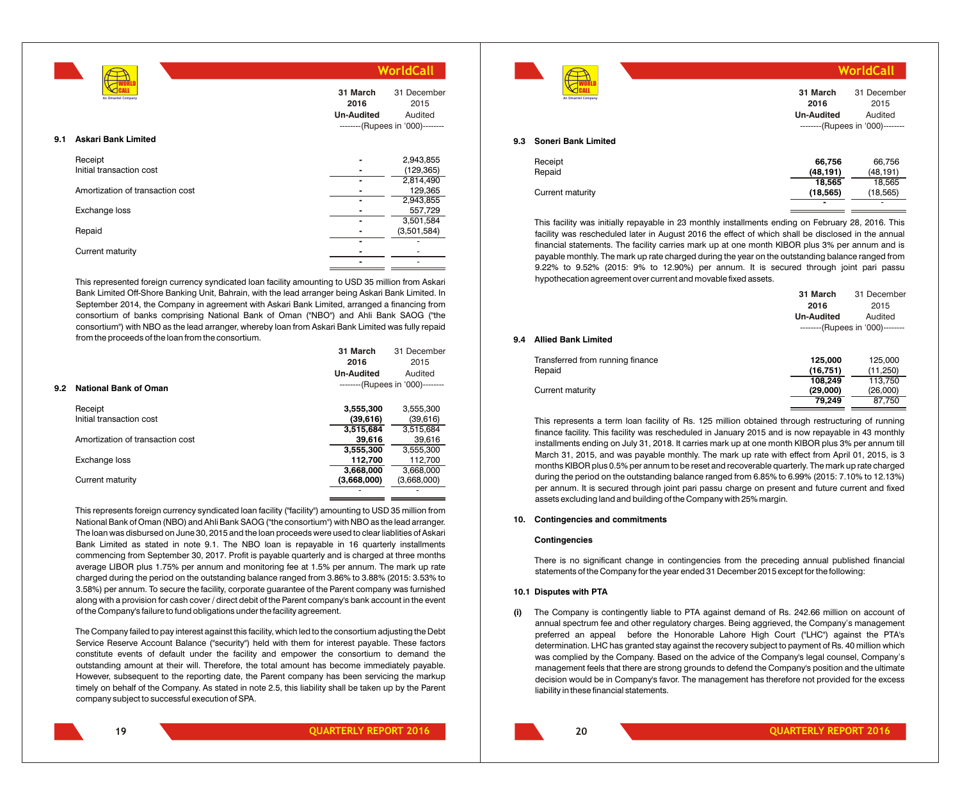|                                   |                                       | WorldCall                        |
|-----------------------------------|---------------------------------------|----------------------------------|
| An Omantel Company                | 31 March<br>2016<br><b>Un-Audited</b> | 31 December<br>2015<br>Audited   |
|                                   |                                       | --------(Rupees in '000)-------- |
| <b>Askari Bank Limited</b><br>9.1 |                                       |                                  |
| Receipt                           |                                       | 2,943,855                        |
| Initial transaction cost          |                                       | (129, 365)                       |
|                                   |                                       | 2,814,490                        |
| Amortization of transaction cost  |                                       | 129,365                          |
|                                   |                                       | 2,943,855                        |
| Exchange loss                     |                                       | 557,729                          |
|                                   |                                       | 3,501,584                        |
| Repaid                            |                                       | (3,501,584)                      |
|                                   |                                       |                                  |
| Current maturity                  |                                       |                                  |
|                                   |                                       |                                  |

This represented foreign currency syndicated loan facility amounting to USD 35 million from Askari Bank Limited Off-Shore Banking Unit, Bahrain, with the lead arranger being Askari Bank Limited. In September 2014, the Company in agreement with Askari Bank Limited, arranged a financing from consortium of banks comprising National Bank of Oman ("NBO") and Ahli Bank SAOG ("the consortium") with NBO as the lead arranger, whereby loan from Askari Bank Limited was fully repaid from the proceeds of the loan from the consortium. **31 March**

|     |                                  | 31 March<br>2016  | 31 December<br>2015              |
|-----|----------------------------------|-------------------|----------------------------------|
|     |                                  | <b>Un-Audited</b> | Audited                          |
| 9.2 | <b>National Bank of Oman</b>     |                   | --------(Rupees in '000)-------- |
|     | Receipt                          | 3,555,300         | 3,555,300                        |
|     | Initial transaction cost         | (39,616)          | (39,616)                         |
|     |                                  | 3,515,684         | 3.515.684                        |
|     | Amortization of transaction cost | 39,616            | 39,616                           |
|     |                                  | 3,555,300         | 3,555,300                        |
|     | Exchange loss                    | 112.700           | 112,700                          |
|     |                                  | 3,668,000         | 3.668.000                        |
|     | Current maturity                 | (3,668,000)       | (3,668,000)                      |
|     |                                  |                   |                                  |

This represents foreign currency syndicated loan facility ("facility") amounting to USD 35 million from National Bank of Oman (NBO) and Ahli Bank SAOG ("the consortium") with NBO as the lead arranger. The loan was disbursed on June 30, 2015 and the loan proceeds were used to clear liablities of Askari Bank Limited as stated in note 9.1. The NBO loan is repayable in 16 quarterly installments commencing from September 30, 2017. Profit is payable quarterly and is charged at three months average LIBOR plus 1.75% per annum and monitoring fee at 1.5% per annum. The mark up rate charged during the period on the outstanding balance ranged from 3.86% to 3.88% (2015: 3.53% to 3.58%) per annum. To secure the facility, corporate guarantee of the Parent company was furnished along with a provision for cash cover / direct debit of the Parent company's bank account in the event of the Company's failure to fund obligations under the facility agreement.

The Company failed to pay interest against this facility, which led to the consortium adjusting the Debt Service Reserve Account Balance ("security") held with them for interest payable. These factors constitute events of default under the facility and empower the consortium to demand the outstanding amount at their will. Therefore, the total amount has become immediately payable. However, subsequent to the reporting date, the Parent company has been servicing the markup timely on behalf of the Company. As stated in note 2.5, this liability shall be taken up by the Parent company subject to successful execution of SPA.

|                                   |                                       | WorldCall                                                          |
|-----------------------------------|---------------------------------------|--------------------------------------------------------------------|
| An Omantel Company                | 31 March<br>2016<br><b>Un-Audited</b> | 31 December<br>2015<br>Audited<br>--------(Rupees in '000)-------- |
| <b>Soneri Bank Limited</b><br>9.3 |                                       |                                                                    |
| Receipt<br>Repaid                 | 66,756<br>(48, 191)                   | 66,756<br>(48, 191)                                                |
| Current maturity                  | 18,565<br>(18, 565)                   | 18,565<br>(18, 565)                                                |
|                                   | $\overline{\phantom{0}}$              |                                                                    |

This facility was initially repayable in 23 monthly installments ending on February 28, 2016. This facility was rescheduled later in August 2016 the effect of which shall be disclosed in the annual financial statements. The facility carries mark up at one month KIBOR plus 3% per annum and is payable monthly. The mark up rate charged during the year on the outstanding balance ranged from 9.22% to 9.52% (2015: 9% to 12.90%) per annum. It is secured through joint pari passu hypothecation agreement over current and movable fixed assets.

|     |                                  | 31 March          | 31 December                      |
|-----|----------------------------------|-------------------|----------------------------------|
|     |                                  | 2016              | 2015                             |
|     |                                  | <b>Un-Audited</b> | Audited                          |
|     |                                  |                   | --------(Rupees in '000)-------- |
| 9.4 | <b>Allied Bank Limited</b>       |                   |                                  |
|     | Transferred from running finance | 125.000           | 125.000                          |
|     | Repaid                           | (16,751)          | (11,250)                         |
|     |                                  | 108,249           | 113,750                          |
|     | Current maturity                 | (29,000)          | (26,000)                         |
|     |                                  | 79.249            | 87.750                           |

This represents a term loan facility of Rs. 125 million obtained through restructuring of running finance facility. This facility was rescheduled in January 2015 and is now repayable in 43 monthly installments ending on July 31, 2018. It carries mark up at one month KIBOR plus 3% per annum till March 31, 2015, and was payable monthly. The mark up rate with effect from April 01, 2015, is 3 months KIBOR plus 0.5% per annum to be reset and recoverable quarterly. The mark up rate charged during the period on the outstanding balance ranged from 6.85% to 6.99% (2015: 7.10% to 12.13%) per annum. It is secured through joint pari passu charge on present and future current and fixed assets excluding land and building of the Company with 25% margin.

#### **10. Contingencies and commitments**

#### **Contingencies**

There is no significant change in contingencies from the preceding annual published financial statements of the Company for the year ended 31 December 2015 except for the following:

#### **10.1 Disputes with PTA**

**(i)** The Company is contingently liable to PTA against demand of Rs. 242.66 million on account of annual spectrum fee and other regulatory charges. Being aggrieved, the Company's management preferred an appeal before the Honorable Lahore High Court ("LHC") against the PTA's determination. LHC has granted stay against the recovery subject to payment of Rs. 40 million which was complied by the Company. Based on the advice of the Company's legal counsel, Company's management feels that there are strong grounds to defend the Company's position and the ultimate decision would be in Company's favor. The management has therefore not provided for the excess liability in these financial statements.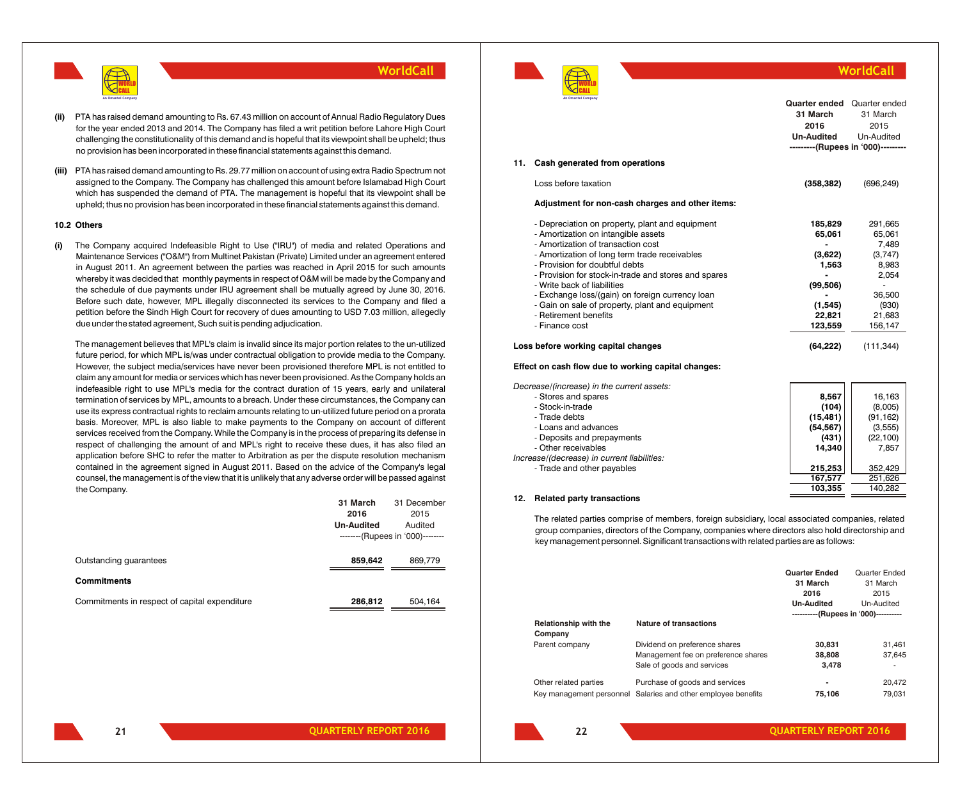

- **(ii)** PTA has raised demand amounting to Rs. 67.43 million on account of Annual Radio Regulatory Dues for the year ended 2013 and 2014. The Company has filed a writ petition before Lahore High Court challenging the constitutionality of this demand and is hopeful that its viewpoint shall be upheld; thus no provision has been incorporated in these financial statements against this demand.
- **(iii)** PTA has raised demand amounting to Rs. 29.77 million on account of using extra Radio Spectrum not assigned to the Company. The Company has challenged this amount before Islamabad High Court which has suspended the demand of PTA. The management is hopeful that its viewpoint shall be upheld; thus no provision has been incorporated in these financial statements against this demand.

#### **10.2 Others**

**(i)** The Company acquired Indefeasible Right to Use ("IRU") of media and related Operations and Maintenance Services ("O&M") from Multinet Pakistan (Private) Limited under an agreement entered in August 2011. An agreement between the parties was reached in April 2015 for such amounts whereby it was decided that monthly payments in respect of O&M will be made by the Company and the schedule of due payments under IRU agreement shall be mutually agreed by June 30, 2016. Before such date, however, MPL illegally disconnected its services to the Company and filed a petition before the Sindh High Court for recovery of dues amounting to USD 7.03 million, allegedly due under the stated agreement, Such suit is pending adjudication.

The management believes that MPL's claim is invalid since its major portion relates to the un-utilized future period, for which MPL is/was under contractual obligation to provide media to the Company. However, the subject media/services have never been provisioned therefore MPL is not entitled to claim any amount for media or services which has never been provisioned. As the Company holds an indefeasible right to use MPL's media for the contract duration of 15 years, early and unilateral termination of services by MPL, amounts to a breach. Under these circumstances, the Company can use its express contractual rights to reclaim amounts relating to un-utilized future period on a prorata basis. Moreover, MPL is also liable to make payments to the Company on account of different services received from the Company. While the Company is in the process of preparing its defense in respect of challenging the amount of and MPL's right to receive these dues, it has also filed an application before SHC to refer the matter to Arbitration as per the dispute resolution mechanism contained in the agreement signed in August 2011. Based on the advice of the Company's legal counsel, the management is of the view that it is unlikely that any adverse order will be passed against the Company.

|                                               | 31 March          | 31 December                      |
|-----------------------------------------------|-------------------|----------------------------------|
|                                               | 2016              | 2015                             |
|                                               | <b>Un-Audited</b> | Audited                          |
|                                               |                   | --------(Rupees in '000)-------- |
|                                               |                   |                                  |
| Outstanding quarantees                        | 859,642           | 869,779                          |
|                                               |                   |                                  |
| <b>Commitments</b>                            |                   |                                  |
| Commitments in respect of capital expenditure | 286,812           | 504,164                          |
|                                               |                   |                                  |
|                                               |                   |                                  |



#### **WorldCall Quarter ended** Quarter ended **31 March 2016** 31 March 2015

**---------(Rupees in '000)---------**

Un-Audited

**Un-Audited**

#### **11. Cash generated from operations**

| Loss before taxation                                                                                                                                                                                                                                                                                                                                                                                                                                    | (358, 382)                                                                          | (696, 249)                                                                                      |
|---------------------------------------------------------------------------------------------------------------------------------------------------------------------------------------------------------------------------------------------------------------------------------------------------------------------------------------------------------------------------------------------------------------------------------------------------------|-------------------------------------------------------------------------------------|-------------------------------------------------------------------------------------------------|
| Adjustment for non-cash charges and other items:                                                                                                                                                                                                                                                                                                                                                                                                        |                                                                                     |                                                                                                 |
| - Depreciation on property, plant and equipment<br>- Amortization on intangible assets<br>- Amortization of transaction cost<br>- Amortization of long term trade receivables<br>- Provision for doubtful debts<br>- Provision for stock-in-trade and stores and spares<br>- Write back of liabilities<br>- Exchange loss/(gain) on foreign currency loan<br>- Gain on sale of property, plant and equipment<br>- Retirement benefits<br>- Finance cost | 185,829<br>65,061<br>(3,622)<br>1.563<br>(99, 506)<br>(1, 545)<br>22.821<br>123,559 | 291.665<br>65,061<br>7,489<br>(3,747)<br>8.983<br>2,054<br>36,500<br>(930)<br>21.683<br>156,147 |

#### **Loss before working capital changes (64,222)** (111,344)

#### **Effect on cash flow due to working capital changes:**

| - Stores and spares                         | 8,567     | 16,163    |
|---------------------------------------------|-----------|-----------|
| - Stock-in-trade                            | (104)     | (8,005)   |
| - Trade debts                               | (15, 481) | (91, 162) |
| - Loans and advances                        | (54, 567) | (3,555)   |
| - Deposits and prepayments                  | (431)     | (22, 100) |
| - Other receivables                         | 14.340    | 7,857     |
| Increase/(decrease) in current liabilities: |           |           |
| - Trade and other payables                  | 215.253   | 352.429   |
|                                             | 167.577   | 251.626   |
|                                             | 103.355   | 140.282   |

#### **12. Related party transactions**

The related parties comprise of members, foreign subsidiary, local associated companies, related group companies, directors of the Company, companies where directors also hold directorship and key management personnel. Significant transactions with related parties are as follows:

|                                  |                                      | <b>Quarter Ended</b><br>31 March     | Quarter Ended<br>31 March |
|----------------------------------|--------------------------------------|--------------------------------------|---------------------------|
|                                  |                                      | 2016                                 | 2015                      |
|                                  |                                      | <b>Un-Audited</b>                    | Un-Audited                |
|                                  |                                      | ----------(Rupees in '000)---------- |                           |
| Relationship with the<br>Company | Nature of transactions               |                                      |                           |
| Parent company                   | Dividend on preference shares        | 30.831                               | 31,461                    |
|                                  | Management fee on preference shares  | 38,808                               | 37,645                    |
|                                  | Sale of goods and services           | 3.478                                |                           |
| Other related parties            | Purchase of goods and services       | ۰                                    | 20.472                    |
| Key management personnel         | Salaries and other employee benefits | 75,106                               | 79.031                    |

**21**